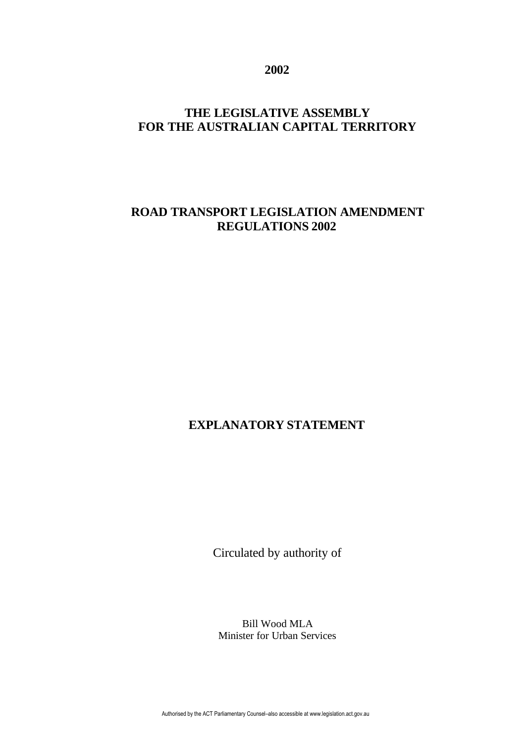**2002**

## **THE LEGISLATIVE ASSEMBLY FOR THE AUSTRALIAN CAPITAL TERRITORY**

## **ROAD TRANSPORT LEGISLATION AMENDMENT REGULATIONS 2002**

# **EXPLANATORY STATEMENT**

Circulated by authority of

Bill Wood MLA Minister for Urban Services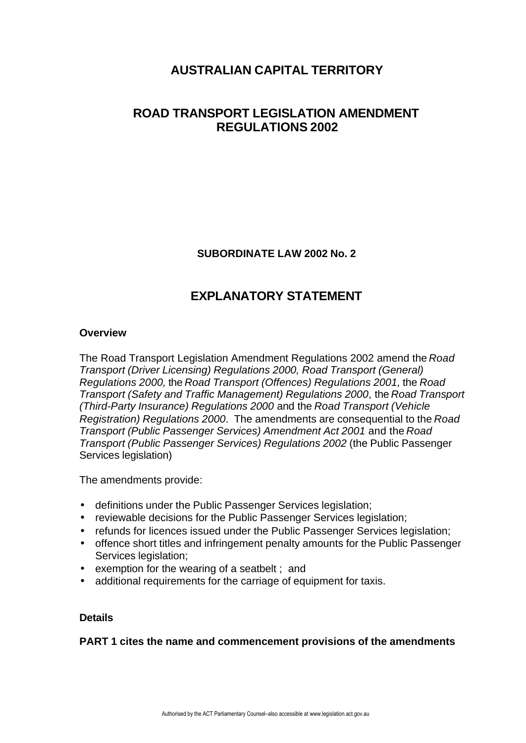## **AUSTRALIAN CAPITAL TERRITORY**

## **ROAD TRANSPORT LEGISLATION AMENDMENT REGULATIONS 2002**

**SUBORDINATE LAW 2002 No. 2**

# **EXPLANATORY STATEMENT**

#### **Overview**

The Road Transport Legislation Amendment Regulations 2002 amend the *Road Transport (Driver Licensing) Regulations 2000, Road Transport (General) Regulations 2000,* the *Road Transport (Offences) Regulations 2001,* the *Road Transport (Safety and Traffic Management) Regulations 2000*, the *Road Transport (Third-Party Insurance) Regulations 2000* and the *Road Transport (Vehicle Registration) Regulations 2000*. The amendments are consequential to the *Road Transport (Public Passenger Services) Amendment Act 2001* and the *Road Transport (Public Passenger Services) Regulations 2002* (the Public Passenger Services legislation)

The amendments provide:

- definitions under the Public Passenger Services legislation;
- reviewable decisions for the Public Passenger Services legislation;
- refunds for licences issued under the Public Passenger Services legislation;
- offence short titles and infringement penalty amounts for the Public Passenger Services legislation;
- exemption for the wearing of a seatbelt ; and
- additional requirements for the carriage of equipment for taxis.

#### **Details**

**PART 1 cites the name and commencement provisions of the amendments**